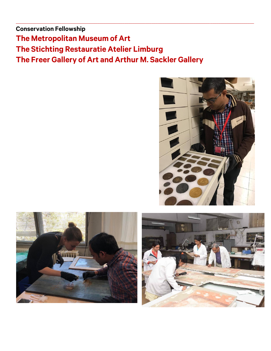**Conservation Fellowship The Metropolitan Museum of Art The Stichting Restauratie Atelier Limburg The Freer Gallery of Art and Arthur M. Sackler Gallery**

 $\_$  ,  $\_$  ,  $\_$  ,  $\_$  ,  $\_$  ,  $\_$  ,  $\_$  ,  $\_$  ,  $\_$  ,  $\_$  ,  $\_$  ,  $\_$  ,  $\_$  ,  $\_$  ,  $\_$  ,  $\_$  ,  $\_$  ,  $\_$  ,  $\_$  ,  $\_$  ,  $\_$  ,  $\_$  ,  $\_$  ,  $\_$  ,  $\_$  ,  $\_$  ,  $\_$  ,  $\_$  ,  $\_$  ,  $\_$  ,  $\_$  ,  $\_$  ,  $\_$  ,  $\_$  ,  $\_$  ,  $\_$  ,  $\_$  ,





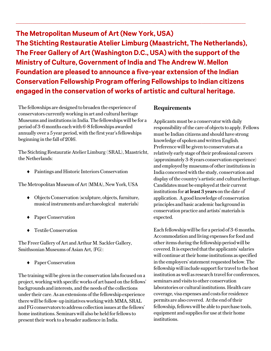**The Metropolitan Museum of Art (New York, USA) The Stichting Restauratie Atelier Limburg (Maastricht, The Netherlands), The Freer Gallery of Art (Washington D.C., USA) with the support of the Ministry of Culture, Government of India and The Andrew W. Mellon Foundation are pleased to announce a five-year extension of the Indian Conservation Fellowship Program offering Fellowships to Indian citizens engaged in the conservation of works of artistic and cultural heritage.** 

 $\_$  ,  $\_$  ,  $\_$  ,  $\_$  ,  $\_$  ,  $\_$  ,  $\_$  ,  $\_$  ,  $\_$  ,  $\_$  ,  $\_$  ,  $\_$  ,  $\_$  ,  $\_$  ,  $\_$  ,  $\_$  ,  $\_$  ,  $\_$  ,  $\_$  ,  $\_$  ,  $\_$  ,  $\_$  ,  $\_$  ,  $\_$  ,  $\_$  ,  $\_$  ,  $\_$  ,  $\_$  ,  $\_$  ,  $\_$  ,  $\_$  ,  $\_$  ,  $\_$  ,  $\_$  ,  $\_$  ,  $\_$  ,  $\_$  ,

The fellowships are designed to broaden the experience of conservators currently working in art and cultural heritage Museums and institutions in India. The fellowships will be for a period of 3-6 months each with 6-8 fellowships awarded annually over a 5 year period, with the first year's fellowships beginning in the fall of 2016.

The Stichting Restauratie Atelier Limburg ( SRAL), Maastricht, the Netherlands:

Paintings and Historic Interiors Conservation

The Metropolitan Museum of Art (MMA), New York, USA

- Objects Conservation (sculpture, objects, furniture, musical instruments and archaeological materials)
- ◆ Paper Conservation
- Textile Conservation

The Freer Gallery of Art and Arthur M. Sackler Gallery, Smithsonian Museums of Asian Art, (FG):

◆ Paper Conservation

The training will be given in the conservation labs focused on a project, working with specific works of art based on the fellows' backgrounds and interests, and the needs of the collections under their care. As an extensions of the fellowship experience there will be follow-up initiatives working with MMA, SRAL and FG conservators to address collection issues at the fellows' home institutions. Seminars will also be held for fellows to present their work to a broader audience in India.

## **Requirements**

Applicants must be a conservator with daily responsibility of the care of objects to apply. Fellows must be Indian citizens and should have strong knowledge of spoken and written English. Preferencewill be given to conservators at a relatively early stage of their professional careers (approximately 3-8 years conservation experience) and employed by museums of other institutions in India concerned with the study, conservation and display of the country's artistic and cultural heritage. Candidates must be employed at their current institutions for **at least 3 years** on the date of application. A good knowledge of conservation principles and basic academic background in conservation practice and artists' materials is expected.

Each fellowship will be for a period of 3-6 months. Accommodation and living expenses for food and other items during the fellowship period will be covered. It is expected that the applicants' salaries will continue at their home institutions as specified in the employers' statement requested below. The fellowship will include support for travel to the host institution as well as research travel for conferences, seminars and visits to other conservation laboratories or cultural institutions. Health care coverage, visa expenses and costs for residence permits are also covered. At the end of their fellowship, fellows will be able to purchase tools, equipment and supplies for use at their home institutions.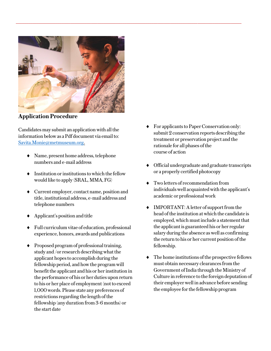

 $\_$ 

**Application Procedure**

Candidates may submit an application with all the information below as a Pdf document via email to: [Savita.Monie@metmuseum.org](mailto:Savita.Monie@metmuseum.org).

- Name, present home address, telephone numbers and e-mail address
- Institution or institutions to which the fellow would like to apply (SRAL, MMA, FG)
- Current employer, contact name, position and title, institutional address, e-mail address and telephone numbers
- Applicant's position and title
- Full curriculum vitae of education, professional experience, honors, awards and publications
- Proposed program of professional training, study and /or research describing what the applicant hopes to accomplish during the fellowship period, and how the program will benefit the applicant and his or her institution in the performance of his or her duties upon return to his or her place of employment (not to exceed 1,000 words. Please state any preferences of restrictions regarding the length of the fellowship (any duration from 3-6 months) or the start date
- For applicants to Paper Conservation only: submit 2 conservation reports describing the treatment or preservation project and the rationale for all phases of the course of action
- Official undergraduate and graduate transcripts or a properly certified photocopy
- Two letters of recommendation from individuals well acquainted with the applicant's academic or professional work
- IMPORTANT: A letter of support from the head of the institution at which the candidate is employed, which must include a statement that the applicant is guaranteed his or her regular salary during the absence as well as confirming the return to his or her current position of the fellowship.
- $\bullet$  The home institutions of the prospective fellows must obtain necessary clearances from the Government of India through the Ministry of Culture in reference to the foreign deputation of their employerwell in advance before sending the employee for the fellowship program